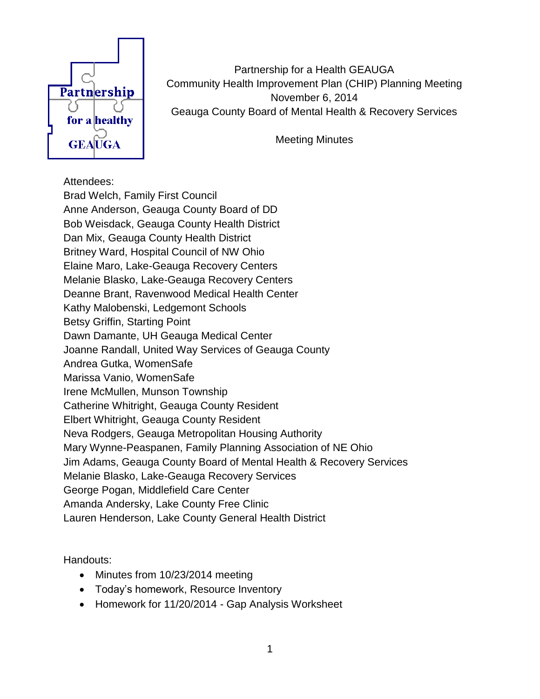

Partnership for a Health GEAUGA Community Health Improvement Plan (CHIP) Planning Meeting November 6, 2014 Geauga County Board of Mental Health & Recovery Services

Meeting Minutes

## Attendees:

Brad Welch, Family First Council Anne Anderson, Geauga County Board of DD Bob Weisdack, Geauga County Health District Dan Mix, Geauga County Health District Britney Ward, Hospital Council of NW Ohio Elaine Maro, Lake-Geauga Recovery Centers Melanie Blasko, Lake-Geauga Recovery Centers Deanne Brant, Ravenwood Medical Health Center Kathy Malobenski, Ledgemont Schools Betsy Griffin, Starting Point Dawn Damante, UH Geauga Medical Center Joanne Randall, United Way Services of Geauga County Andrea Gutka, WomenSafe Marissa Vanio, WomenSafe Irene McMullen, Munson Township Catherine Whitright, Geauga County Resident Elbert Whitright, Geauga County Resident Neva Rodgers, Geauga Metropolitan Housing Authority Mary Wynne-Peaspanen, Family Planning Association of NE Ohio Jim Adams, Geauga County Board of Mental Health & Recovery Services Melanie Blasko, Lake-Geauga Recovery Services George Pogan, Middlefield Care Center Amanda Andersky, Lake County Free Clinic Lauren Henderson, Lake County General Health District

Handouts:

- Minutes from 10/23/2014 meeting
- Today's homework, Resource Inventory
- Homework for 11/20/2014 Gap Analysis Worksheet